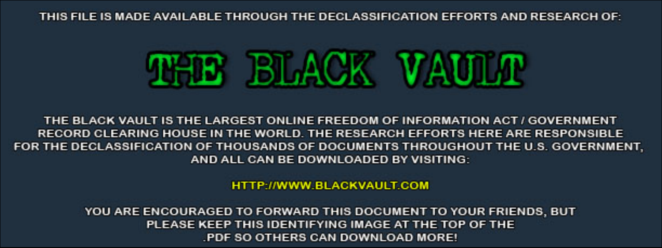THIS FILE IS MADE AVAILABLE THROUGH THE DECLASSIFICATION EFFORTS AND RESEARCH OF:



THE BLACK VAULT IS THE LARGEST ONLINE FREEDOM OF INFORMATION ACT / GOVERNMENT RECORD CLEARING HOUSE IN THE WORLD. THE RESEARCH EFFORTS HERE ARE RESPONSIBLE FOR THE DECLASSIFICATION OF THOUSANDS OF DOCUMENTS THROUGHOUT THE U.S. GOVERNMENT, AND ALL CAN BE DOWNLOADED BY VISITING:

**HTTP://WWW.BLACKVAULT.COM** 

YOU ARE ENCOURAGED TO FORWARD THIS DOCUMENT TO YOUR FRIENDS, BUT PLEASE KEEP THIS IDENTIFYING IMAGE AT THE TOP OF THE PDF SO OTHERS CAN DOWNLOAD MORE!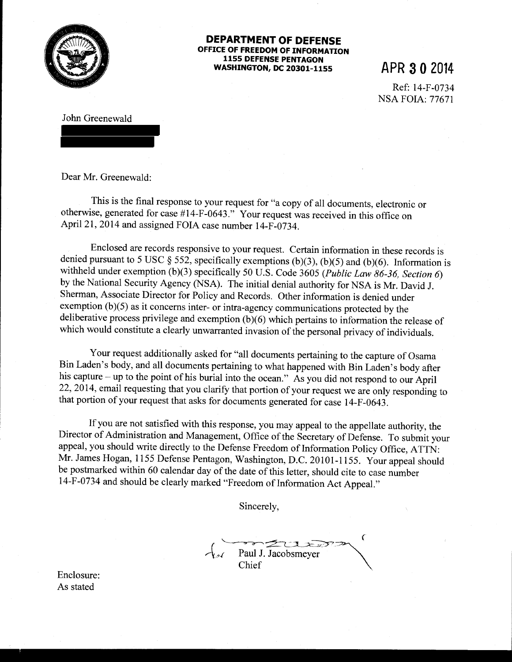

## **DEPARTMENT OF DEFENSE OFFICE OF FREEDOM OF INFORMATION 1155 DEFENSE PENTAGON WASHINGTON, DC 20301-1155 APR 3 0 2014**

Ref: 14-F-0734 NSA FOIA: 77671

John Greenewald

Dear Mr. Greenewald:

This is the final response to your request for "a copy of all documents, electronic or otherwise, generated for case #14-F-0643." Your request was received in this office on April21, 2014 and assigned FOIA case number 14-F-0734.

Enclosed are records responsive to your request. Certain information in these records is denied pursuant to 5 USC § 552, specifically exemptions (b)(3), (b)(5) and (b)(6). Information is withheld under exemption (b)(3) specifically 50 U.S. Code 3605 *(Public Law 86-36, Section 6)*  by the National Security Agency (NSA). The initial denial authority for NSA is Mr. David J. Sherman, Associate Director for Policy and Records. Other information is denied under exemption (b)(5) as it concerns inter- or intra-agency communications protected by the deliberative process privilege and exemption  $(b)(6)$  which pertains to information the release of which would constitute a clearly unwarranted invasion of the personal privacy of individuals.

Your request additionally asked for "all documents pertaining to the capture of Osama Bin Laden's body, and all documents pertaining to what happened with Bin Laden's body after his capture – up to the point of his burial into the ocean." As you did not respond to our April 22, 2014, email requesting that you clarify that portion of your request we are only responding to that portion of your request that asks for documents generated for case 14-F-0643.

If you are not satisfied with this response, you may appeal to the appellate authority, the Director of Administration and Management, Office of the Secretary of Defense. To submit your appeal, you should write directly to the Defense Freedom of Information Policy Office, ATTN: Mr. James Hogan, 1155 Defense Pentagon, Washington, D.C. 20101-1155. Your appeal should be postmarked within 60 calendar day of the date of this letter, should cite to case number 14-F-0734 and should be clearly marked "Freedom of Information Act Appeal."

Sincerely,

Paul J. Jacobsmeyer Chief

Enclosure: As stated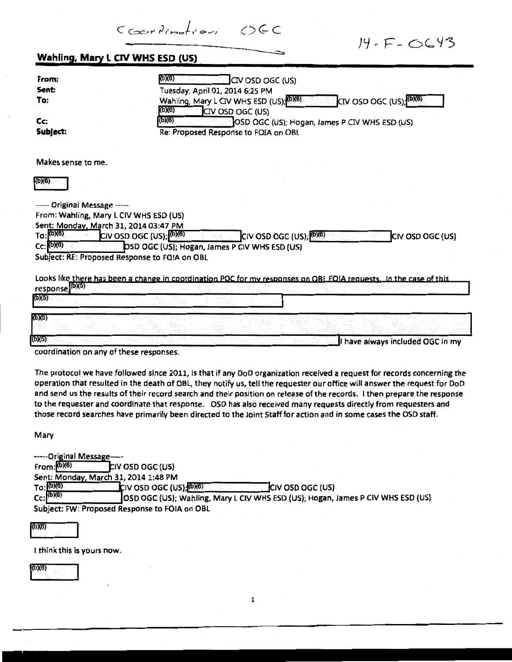Courtination OCC

 $14 - F - G643$ 

| From:                                   | (b)(6)<br>CIV OSD OGC (US)                                                                                                                                                                                                                            |
|-----------------------------------------|-------------------------------------------------------------------------------------------------------------------------------------------------------------------------------------------------------------------------------------------------------|
| Sent                                    | Tuesday, April 01, 2014 6:25 PM                                                                                                                                                                                                                       |
| To:                                     | CIV OSD OGC (US); <sup>(b)(6)</sup><br>Wahling, Mary L CIV WHS ESD (US), (D)(6)                                                                                                                                                                       |
|                                         | (b)(6)<br>CIV OSD OGC (US)                                                                                                                                                                                                                            |
| Cc:                                     | (b)(6)<br>OSD OGC (US); Hogan, James P CIV WHS ESD (US)                                                                                                                                                                                               |
| Subject:                                | Re: Proposed Response to FOIA on OBL                                                                                                                                                                                                                  |
|                                         |                                                                                                                                                                                                                                                       |
| Makes sense to me.                      |                                                                                                                                                                                                                                                       |
| (6)(6)                                  |                                                                                                                                                                                                                                                       |
|                                         |                                                                                                                                                                                                                                                       |
| ----- Original Message -----            |                                                                                                                                                                                                                                                       |
| From: Wahling, Mary L CIV WHS ESD (US)  |                                                                                                                                                                                                                                                       |
| Sent: Monday, March 31, 2014 03:47 PM   |                                                                                                                                                                                                                                                       |
| To: (b)(6)                              | CIV OSD OGC (US); (0)(6)<br>CIV OSD OGC (US); <sup>[(b)(6)</sup><br>CIV OSD OGC (US)                                                                                                                                                                  |
| $Cc$ : (b)(6)                           | OSD OGC (US); Hogan, James P CIV WHS ESD (US)                                                                                                                                                                                                         |
|                                         | Subject: RE: Proposed Response to FOIA on OBL                                                                                                                                                                                                         |
|                                         |                                                                                                                                                                                                                                                       |
|                                         | Looks like there has been a change in coordination POC for my responses on OBL FOIA requests. In the case of this                                                                                                                                     |
| response (b)(5)<br>(b)(5)               |                                                                                                                                                                                                                                                       |
|                                         |                                                                                                                                                                                                                                                       |
| (D)(5)                                  |                                                                                                                                                                                                                                                       |
|                                         |                                                                                                                                                                                                                                                       |
| (b)(5)                                  | I have always included OGC in my                                                                                                                                                                                                                      |
|                                         |                                                                                                                                                                                                                                                       |
|                                         |                                                                                                                                                                                                                                                       |
|                                         |                                                                                                                                                                                                                                                       |
|                                         |                                                                                                                                                                                                                                                       |
| coordination on any of these responses. | The protocol we have followed since 2011, is that if any DoD organization received a request for records concerning the<br>operation that resulted in the death of OBL, they notify us, tell the requester our office will answer the request for DoD |

Mary

| -----Original Message----- |                                               |                                                                                 |
|----------------------------|-----------------------------------------------|---------------------------------------------------------------------------------|
| $From: (b)(6)$             | <b>CIV OSD OGC (US)</b>                       |                                                                                 |
|                            | Sent: Monday, March 31, 2014 1:48 PM          |                                                                                 |
| To: (b)(6)                 | $CIV$ OSD OGC (US); $(DB)$                    | <b>CIV OSD OGC (US)</b>                                                         |
| $Cc$ : $(6)(6)$            |                                               | OSD OGC (US); Wahling, Mary L CIV WHS ESD (US); Hogan, James P CIV WHS ESD (US) |
|                            | Subject: FW: Proposed Response to FOIA on OBL |                                                                                 |

to the requester and coordinate that response. OSD has also received many requests directly from requesters and those record searches have primarily been directed to the Joint Staff for action and in some cases the OSD staff.

 $(b)(6)$ 

I think this is yours now.

1(6)(6)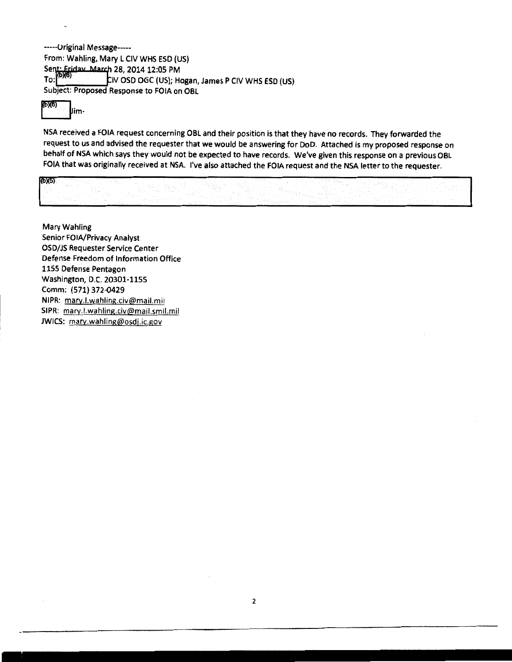------ Original Message-----From: Wahling, Mary L CIV WHS ESD (US) Sent: Friday March 28, 2014 12:05 PM<br>To: (0)(6)<br>CIV OSD OGC (1)(5) LIV OSD OGC (US); Hogan, James P CIV WHS ESD (US) Subject: Proposed Response to FOIA on OBL

bx6) <sub>Jim-</sub>

NSA received a FOIA request concerning OBL and their position is that they have no records. They forwarded the request to us and advised the requester that we would be answering for DoD. Attached is my proposed response on behalf of NSA which says they would not be expected to have records. We've given this response on a previous OBL FOIA that was originally received at NSA. I've also attached the FOIA request and the NSA letter to the requester. POIA the<br>(DX5)

Mary Wahling Senior FOIA/Privacy Analyst OSD/JS Requester Service Center Defense Freedom of Information Office 1155 Defense Pentagon Washington, D.C. 20301-1155 Comm: (571) 372-Q429 NIPR: mary.l.wahling.civ@mail.mil SIPR: mary.l.wahling.civ@mail.smil.mil JWICS: mary.wahling@osdj.ic.gov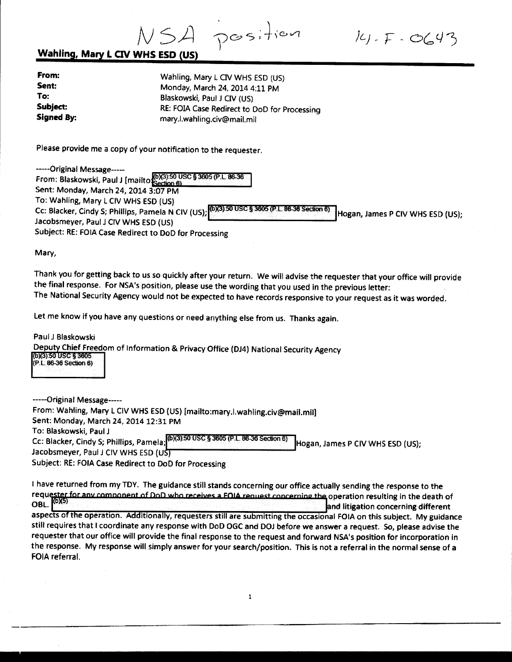NSA

 $141 - F - O(43)$ 

## **Wahling, Mary L CIV WHS ESD (US)**

| From:                  | Wahling, Mary L CIV WHS ESD (US)                                            |  |
|------------------------|-----------------------------------------------------------------------------|--|
| Sent:                  | Monday, March 24, 2014 4:11 PM                                              |  |
| To:                    | Blaskowski, Paul J CIV (US)                                                 |  |
| Subject:<br>Signed By: | RE: FOIA Case Redirect to DoD for Processing<br>mary.l.wahling.civ@mail.mil |  |

Please provide me a copy of your notification to the requester.

| -----Original Message-----                                                                                                         |
|------------------------------------------------------------------------------------------------------------------------------------|
| From: Blaskowski, Paul J [mailto $\frac{1}{3}$ Section 6)                                                                          |
| Sent: Monday, March 24, 2014 3:07 PM                                                                                               |
| To: Wahling, Mary L CIV WHS ESD (US)                                                                                               |
| Cc: Blacker, Cindy S; Phillips, Pamela N CIV (US); (0)(3) 50 USC § 3605 (P.L. 86-36 Section 6)<br>Hogan, James P CIV WHS ESD (US); |
| Jacobsmeyer, Paul J CIV WHS ESD (US)                                                                                               |
| Subject: RE: FOIA Case Redirect to DoD for Processing                                                                              |

Mary,

Thank you for getting back to us so quickly after your return. We will advise the requester that your office will provide the final response. For NSA's position, please use the wording that you used in the previous letter: The National Security Agency would not be expected to have records responsive to your request as it was worded.

Let me know if you have any questions or need anything else from us. Thanks again.

Paul J Blaskowski Deputy Chief Freedom of Information & Privacy Office (DJ4) National Security Agency (b)(3):50 USC § 3605 (P.L 86-36 Section 6)

-----Original Message----- From: Wahling, Mary L CIV WHS ESD (US) [mailto:mary.l.wahling.civ@mail.mil] Sent: Monday, March 24, 2014 12:31 PM To: Blaskowski, Paul J Cc: Blacker, Cindy S; Phillips, Pamela; (6)(3):50 USC § 3605 (P.L. 86-36 Section 6) Hogan, James P CIV WHS ESD (US); Jacobsmeyer, Paul J CIV WHS ESD (UST Subject: RE: FOIA Case Redirect to DoD for Processing

I have returned from my TOY. The guidance still stands concerning our office actually sending the response to the requester for any component of DoD who receives a FOIA request concerning the operation resulting in the death of<br>requester for any component of DoD who receives a FOIA request concerning the operation resulting in the dea aspects of the operation. Additionally, requesters still are submitting the occasional FOIA on this subject. My guidance<br>aspects of the operation. Additionally, requesters still are submitting the occasional FOIA on this s still requires that I coordinate any response with DoD OGC and DOJ before we answer a request. So, please advise the requester that our office will provide the final response to the request and forward NSA's position for incorporation in the response. My response will simply answer for your search/position. This is not a referral in the normal sense of a FOIA referral.

 $\mathbf{1}$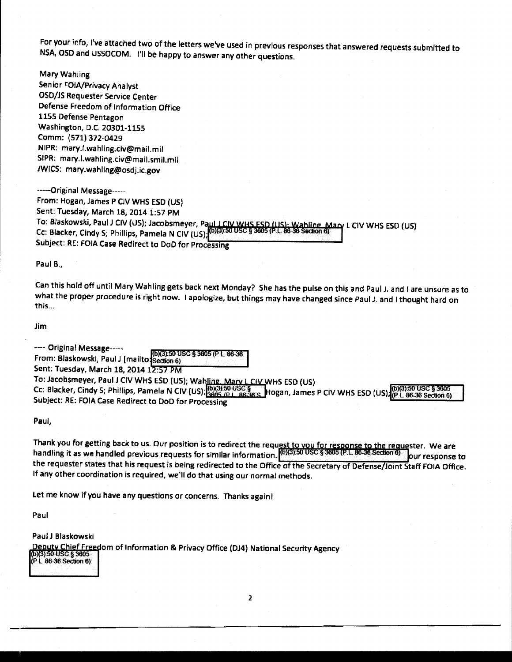For your info, I've attached *two* of the letters we've used in previous responses that answered requests submitted to NSA, OSD and USSOCOM. I'll be happy to answer any other questions.

Mary Wahling Senior FOIA/Privacy Analyst OSD/JS Requester Service Center Defense Freedom of Information Office 1155 Defense Pentagon Washington, D.C. 20301-1155 Comm: (571) 372-0429 NIPR: mary.l.wahling.civ@mail.mil SIPR: mary.l.wahling.civ@mail.smil.mil JWICS: mary.wahling@osdj.ic.gov

-----Original Message----- From: Hogan, James P CIV WHS ESD (US) Sent: Tuesday, March 18, 2014 1:57 PM To: Blaskowski, Paul J CIV (US); Jacobsmeyer, Paul J CIV WHS ESD (US); Wahling Mary L CIV WHS ESD (US)<br>Cr: Blacker, Cindu S: Dhilline, Damela N CIV (US) (DI3):50 USC \$3605 (P.L.86-36 Section 6) Cc: Blacker, Cindy S; Phillips, Pamela N CIV (US);<sup>(0)(3):50 USC</sup> Subject: RE: FOIA Case Redirect to DoD for Processing

Paul B.,

Can this hold off until Mary Wah ling gets back next Monday? She has the pulse on this and Paul J. and 1 are unsure as to what the proper procedure is right now. I apologize, but things may have changed since Paul J. and I thought hard on this ...

Jim

-----Original Message-----<br>From: Blaskowski, Paul J [mailto **;**Sedion 6) Sent: Tuesday, March 18, 2014 12:57 PM To: Jacobsmeyer, Paul J CIV WHS ESD (US); Wahling. Mary L CIV WHS ESD (US) Cc: Blacker, Cindy S; Phillips, Pamela N CIV (US); 003:50 USC S Hogan, James P CIV WHS ESD (US) (PL 86-36 Section 6) Subject: RE: FOIA Case Redirect to DoD for Processing

Paul,

Thank you for getting back to us. Our position is to redirect the request to you for response to the requester. We are handling it as we handled previous requests for similar information. (0)(3):50 USC § 3605 (P.L. 86-36 Section 6) bur response to the requester states that his request is being redirected to the Office of the Secretary of Defense/Joint Staff FOIA Office. If any other coordination is required, we'll do that using our normal methods.

Let me know if you have any questions or concerns. Thanks again!

Paul

Paul J Blaskowski Deputy Chief Freedom of Information & Privacy Office (DJ4) National Security Agency (b)(3):50 USC § 3605 (P.L. 86-36 Section 6)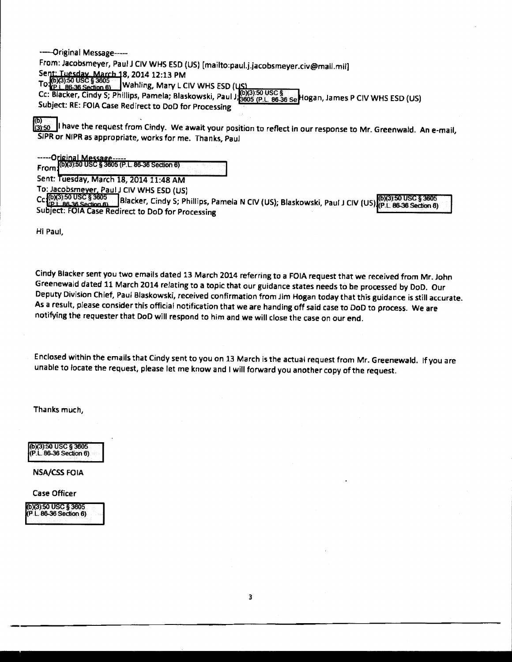--original Message----

From: Jacobsmeyer, Paul J CIV WHS ESD (US) [mailto:paul.j.jacobsmeyer.civ@mail.mil]<br>Sen<u>t: Tuesday, March 1</u>8, 2014 12:13 PM<br><del>~</del>\_.fb)(3):50 USC \$ 3605 \*\* |...

To:(0)(3):50 USC § 3605<br>To:(p.i. 86-36 Section 6) Wahling, Mary L CIV WHS ESD (US)

Cc: Blacker, Cindy S; Phillips, Pamela; Blaskowski, Paul J, 3605 (P.L. 86-36 Se Hogan, James P CIV WHS ESD (US) Subject: RE: FOIA Case Redirect to DoD for Processing

(b) is: ill have the request from Cindy. We await your position to reflect in our response to Mr. Greenwald. An e-mail, SIPR or NIPR as appropriate, works for me. Thanks, Paul

-----Original Message-----<br>From (0X3):50 USC § 3605 (P.L. 86-36 Section 6)

Sent: Tuesday, March 18, 2014 11:48 AM

To: Jacobsmeyer, Paul J CIV WHS ESD (US)<br>Cc (0)(3) 50 USC § 3605<br>C (iP1\_86.36 Section 6) Blacker, Cindy S; Ph Blacker, Cindy S; Phillips, Pamela N CIV (US); Blaskowski, Paul J CIV (US) (P.L. 86-36 Section 8) Subject: FOIA Case Redirect to DoD for Processing

Hi Paul,

Cindy Blacker sent you two emails dated 13 March 2014 referring to a FOIA request that we received from Mr. John Greenewald dated 11 March 2014 relating to a topic that our guidance states needs to be processed by DoD. Our Deputy Division Chief, Paul Blaskowski, received confirmation from Jim Hogan today that this guidance is still accurate. As a result, please consider this official notification that we are handing off said case to DoD to process. We are notifying the requester that DoD will respond *to* him and we will close the case on our end.

Enclosed within the emails that Cindy sent to you on 13 March is the actual request from Mr. Greenewald. If you are unable to locate the request, please let me know and I will forward you another copy of the request.

Thanks much,

(b)(3):50 usc§ 3605 (P.L. 86-36 Section 6)

NSA/CSS FOIA

Case Officer

(b)(3):50 USC § 3605<br>(P.L. 86-36 Section 6)

3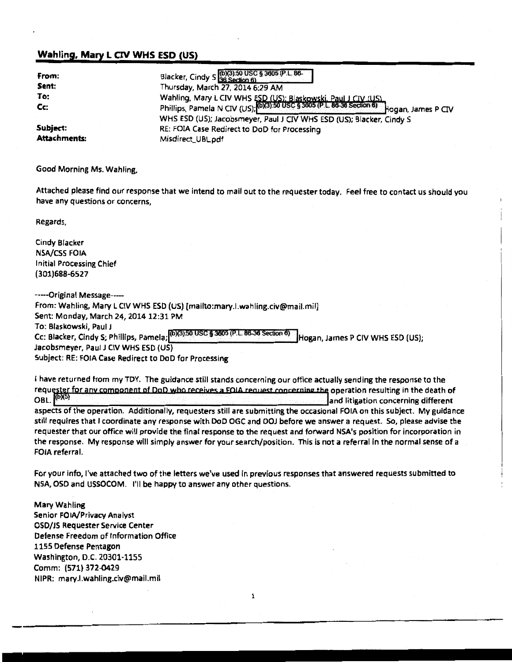## **Wahling. Mary L CIV WHS ESD (US)**

| From:<br>Sent: | Blacker, Cindy S (0)(3):50 USC § 3605 (P.L. 86-<br>Thursday, March 27, 2014 6:29 AM                                                                            |
|----------------|----------------------------------------------------------------------------------------------------------------------------------------------------------------|
| To:<br>Cc:     | Wahling, Mary L CIV WHS ESD (US): Blaskowski, Paul J CIV (US)<br>Phillips, Pamela N CIV (US); (0X3) 50 USC § 3605 (P.L. 86-36 Section 6)<br>Hogan, James P CIV |
| Subject:       | WHS ESD (US); Jacobsmeyer, Paul J CIV WHS ESD (US); Blacker, Cindy S<br>RE: FOIA Case Redirect to DoD for Processing                                           |
| Attachments:   | Misdirect_UBL.pdf                                                                                                                                              |

Good Morning Ms. Wahling,

Attached please find our response that we intend to mail out to the requester today. Feel free to contact us should you have any questions or concerns,

Regards,

Cindy Blacker **NSA/CSS FOIA** Initial Processing Chief (301)688-6527

-----Original Message--- From: Wahling, Mary L CIV WHS ESD (US) [mailto:mary.l.wahling.civ@mail.mil] Sent: Monday, March 24, 2014 12:31 PM To: Blaskowski, Paul J Cc: Blacker, Cindy S; Phillips, Pamela; (6)(3):50 USC § 3605 (P.L.86-36 Section 6) | Hogan, James P CIV WHS ESD (US); Jacobsmeyer, Paul J CIV WHS ESD (US) Subject: RE: FOIA Case Redirect to DoD for Processing

I have returned from my TOY. The guidance still stands concerning our office actually sending the response to the requester for any component of DgD who receives a FOIA request concerning the operation resulting in the death of OBL.  $^{(b)(5)}$ and litigation concerning different aspects of the operation. Additionally, requesters still are submitting the occasional FOIA on this subject. My guidance still requires that I coordinate any response with DoD OGC and OOJ before we answer a request. So, please advise the requester that our office will provide the final response to the request and forward NSA's position for incorporation in the response. My response will simply answer for your search/position. This is not a referral in the normal sense of a FOIA referral.

For your info, I've attached two of the letters we've used in previous responses that answered requests submitted to NSA, OSD and USSOCOM. I'll be happy to answer any other questions.

1

Mary Wahling Senior FOIA/Privacy Analyst OSO/JS Requester Service Center Defense Freedom of Information Office 1155 Defense Pentagon Washington, D.C. 20301-1155 Comm: (571) 372-0429 NIPR: mary.l.wahling.civ@mail.mil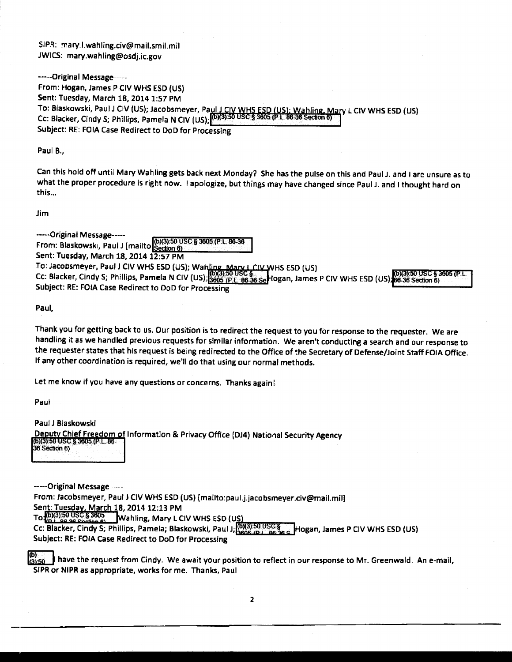SIPR: mary.l.wahling.civ@mail.smil.mil JWICS: mary.wahling@osdj.ic.gov

-----Original Message----- From: Hogan, James P CIV WHS ESD (US) Sent: Tuesday, March 18, 2014 1:57PM To: Blaskowski, Paul J CIV (US); Jacobsmeyer, Pa<u>ul J CIV WHS ESD (US); Wahling. Mary</u> L CIV WHS ESD (US) Cc: Blacker, Cindy S; Phillips, Pamela N CIV (US); <sup>[(b)(3):50 USC § 3605 (P.L. 86-36 Section)</sup> Subject: RE: FOIA Case Redirect to DoD for Processing

Paul B.,

Can this hold off until Mary Wah ling gets back next Monday? She has the pulse on this and Paul J. and I are unsure as to what the proper procedure is right now. I apologize, but things may have changed since Paul J. and I thought hard on this...

Jim

-----Original Message----- From: Blaskowski, Paul J [mailto]<br>Sent: Tuerday, March 10, 2001 Section 6) Sent: Tuesday, March 18, 2014 12:57 PM To: Jacobsmeyer, Paul J CIV WHS ESD (US); Wahling, Mary L CIV WHS ESD (US)<br>Cc: Blacker, Cindy S; Phillips, Pamela N CIV (US);<mark>3605 (P.L. 86-36 Sel</mark> logan, James P CIV WHS ESD (US);<mark>86-36 Section 6)</mark> International C Subject: RE: FOIA Case Redirect to DoD for Processing

Paul,

Thank you for getting back to us. Our position is to redirect the request to you for response to the requester. We are handling it as *we* handled previous requests for similar information. We aren't conducting a search and our response to the requester states that his request is being redirected to the Office of the Secretary of Defense/Joint Staff FOIA Office. If any other coordination is required, we'll do that using our normal methods.

let me know if you have any questions or concerns. Thanks again!

Paul

Paul J Blaskowski Deputy Chief Freedom of Information & Privacy Office (DJ4) National Security Agency  $\Box$ (6)(3 :504lc § w < *L* 86- ( 36 Section 6)

-----Original Message-----

From: Jacobsmeyer, Paul J CIV WHS ESD (US) [mailto:paul.j.jacobsmeyer.civ@mail.mil]

Sent: Tuesday, March 18, 2014 12:13 PM<br>To (0)(3):50 USC § 3605<br>Wahling, Mary L C  $T_{\rm v}$  Wahling, Mary L CIV WHS ESD (US)

Cc: Blacker, Cindy S; Phillips, Pamela; Blaskowski, Paul J; [0)(3):50 USC S ....... Hogan, James P CIV WHS ESD (US) Subject: RE: FOIA Case Redirect to DoD for Processing

~ have the request from Cindy. We await your position to reflect in our response to Mr. Greenwald. An e-mail, SIPR or NIPR as appropriate, works for me. Thanks, Paul

2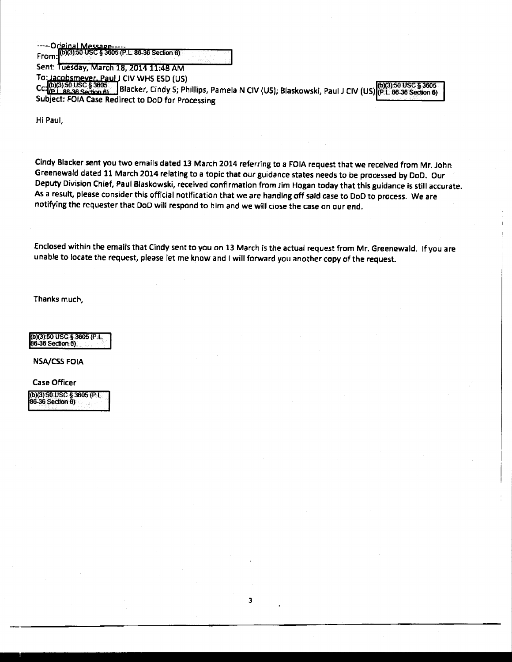-----Orieinal Message<br>From: [0X3):50 USC § 3605 (P.E. 86-36 Section 6)<br>Sent: Tuesday, March 18, 2014 11:48 AM<br>To: Jacobsmever, Paul J CIV WHS ESD (US)

To:~~!!~~ylll CIVWHS ESD (US) )(3):50USC§3605

To: Jacobsmever, Paul J CIV WHS ESD (US)<br>Cc.(b)(3):50 USC § 3605<br>Subject: EGL:An Section 6); Blacker, Cindy S; Phillips, Pamela N CIV (US); Blaskowski, Paul J CIV (US) (P.L.86-36 Section 6) Subject: FOIA Case Redirect to DoD for Processing

Hi Paul,

Cindy Blacker sent you two emails dated 13 March 2014 referring to a FOIA request that we received from Mr. John Greenewa/d dated 11 March 2014 relating to a topic that our guidance states needs to be processed by DoD. Our Deputy Division Chief, Paul Blaskowski, received confirmation from Jim Hogan today that this guidance is still accurate. As a result, please consider this official notification that we are handing off said case to DoD to process. We are notifying the requester that DoD will respond to him and we will close the case on our end.

Enclosed within the emails that Cindy sent to you on 13 March is the actual request from Mr. Greenewald. If you are unable to locate the request, please let me know and I will forward you another copy of the request.

Thanks much,

(b)(3):50 USC § 3605 (P.L.<br>86-36 Section 6)

NSA/CSS FOIA

Case Officer (b)(3):50 USC § 3605 (P.L.<br>86-36 Section 6)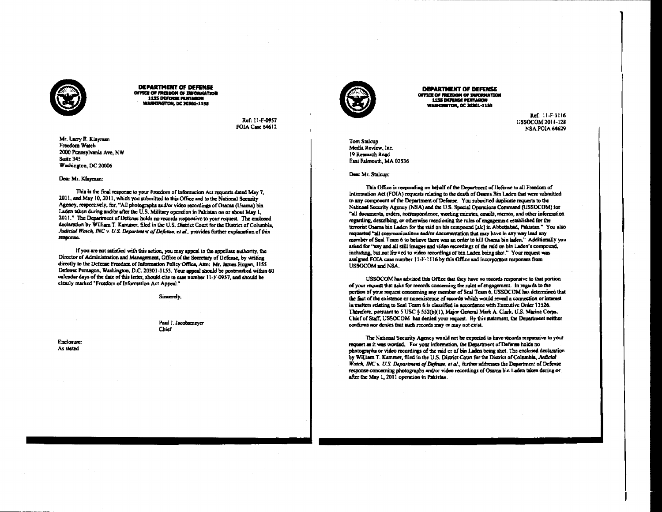

**DEPARTMENT OF DEFENSE** OFFICE OF FREEDOM OF INFORMATION **1135 DEFENSE PENTAGON WASHINGTON, DC 20301-1155** 

> Ref: 11-F-0957 **FOIA Case 64612**

Mr. Larry F. Klayman Freedom Watch 2000 Pennsylvania Ave, NW Suite 345 Washington, DC 20006

#### Dear Mr. Klayman:

This is the final response to your Freedom of Information Act requests dated May 7, 2011, and May 10, 2011, which you submitted to this Office and to the National Security Agency, respectively, for, "All photographs and/or video recordings of Osama (Usama) bin Laden taken during and/or after the U.S. Military operation in Pakistan on or about May 1, 2011." The Department of Defense holds no records responsive to your request. The enclosed declaration by William T. Kammer, filed in the U.S. District Court for the District of Columbia, Judicial Watch, INC v. U.S. Department of Defense, et al., provides further explanation of this response.

If you are not satisfied with this action, you may anneal to the annellate authority, the Director of Administration and Management, Office of the Secretary of Defense, by writing directly to the Defense Freedom of Information Policy Office, Attn: Mr. James Hogan, 1155 Defense Pentagon, Washington, D.C. 20301-1155. Your appeal should be postmarked within 60 calendar days of the date of this fetter, should cite to case number 11-F 0957, and should be clearly marked "Freedom of Information Act Anneal."

Sincerely.

### Paul J. Jacobsmeyer Chief

Enclosure: As stated



**DEPARTMENT OF DEFENSE** OFFICE OF FREEDOM OF INFORMATION **1155 DEPERSE PERTAGON WASHINGTON, DC 20301-1155** 

> Ref: 11-F-1116 **USSOCOM 2011-128** NSA FOIA 64629

**Tom Stalcup** Media Review, Inc. 19 Research Road East Falmouth, MA 02536

#### Dear Mr. Stalcup:

This Office is responding on behalf of the Department of Defense to all Freedom of Information Act (FOIA) requests relating to the death of Osama Bin Laden that were submitted to any component of the Department of Defense. You submitted duplicate requests to the National Security Agency (NSA) and the U.S. Special Operations Command (USSOCOM) for "all documents, orders, correspondence, meeting minutes, emails, memos, and other information regarding, describing, or otherwise mentioning the rules of engagement established for the terrorist Osama bin Laden for the raid on his compound [sic] in Abbottabad, Pakistan." You also requested "all communications and/or documentation that may have in any way lead any member of Seal Team 6 to believe there was an order to kill Osama bin inden." Additionally you asked for "any and all still images and video recordings of the raid on bin Laden's compound, including, but not limited to video recordings of bin Laden being shot." Your request was assigned FOIA case number 11-F-1116 by this Office and incorporates responses from USSOCOM and NSA.

USSOCOM has advised this Office that they have no records responsive to that portion of your request that asks for records concerning the rules of engagement. In regards to the portion of your request concerning any member of Scal Team 6, USSOCOM has determined that the fact of the existence or nonexistence of records which would reveal a connection or interest in matters relating to Seal Team 6 is classified in accordance with Executive Order 13526. Therefore, pursuant to 5 USC § 552(b)(1), Major General Mark A. Clark, U.S. Marine Corps, Chief of Staff, USSOCOM has denied your request. By this statement, the Department neither confirms nor denies that such records may or may not exist.

The National Security Agency would not be expected to have records responsive to your request as it was worded. For your information, the Department of Defense holds no photographs or video recordings of the raid or of bin Laden being shot. The enclosed declaration by William T. Kammer, filed in the U.S. District Court for the District of Columbia, Judicial Watch, INC v. U.S. Department of Defense, et al., further addresses the Department of Defense response concerning photographs and/or video recordings of Osama bin Laden taken during or after the May 1, 2011 operation in Pakistan.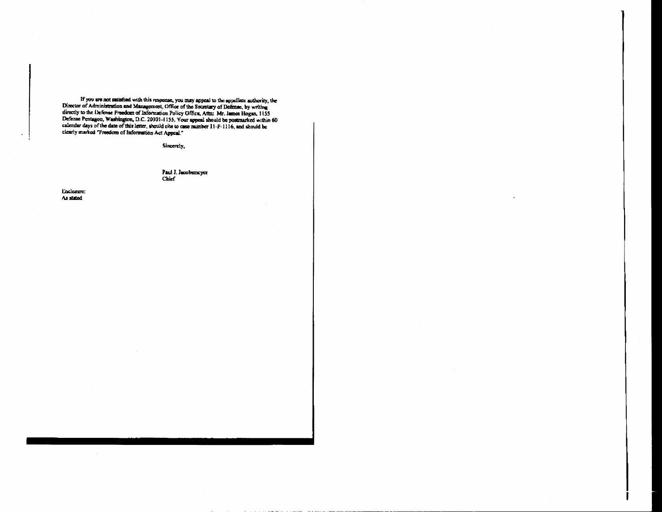If you are not satisfied with this response, you may appeal to the expellate authority, the Director of Administration and Management, Office of the Secretary of Defense, by writing directly to the Defense Freedom of Info clearly marked "Freedom of Information Act Appeal."

Sincerely,

Paul J. Jacobsmeyer Chief

Enclosure: As stated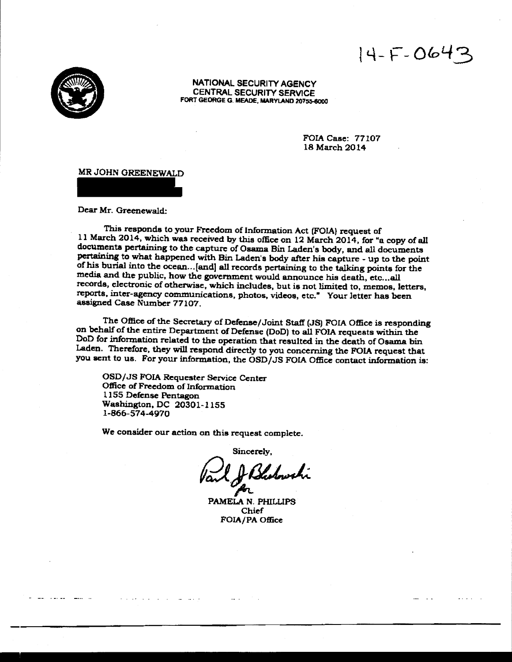$14-F-0643$ 



NATIONAL SECURITY AGENCY CENTRAL SECURITY SERVICE FORT GEORGE G. MEADE, MARYLAND 20755-8000

> FOIA Case: 77107 18 March 2014

MR JOHN OREENEWALD

Dear Mr. Greenewald:

This responds to your Freedom of Information Act (FOIA) request of 11 March 2014, which was received by this office on 12 March 2014, for "a copy of all documents pertaining to the capture of Osama Bin Laden's body, and all documents pertaining to what happened with Bin Laden's body after his capture - up to the point of his burial into the ocean ... [and] all records pertaining to the talking points for the media and the public, how the government would announce his death, etc...all records, electronic of otherwise, which includes, but is not limited to, memos, letters, reports, inter-agency communications, photos, videos, etc." Your letter has been assigned Case Number 77107.

The Office of the Secretary of Defense/Joint Staff (JS) FOIA Office is responding on behalf of the entire Department of Defense (DoD) to all FOIA requests within the DoD for information related to the operation that resulted in the death of Osama bin Laden. Therefore. they will respond directly to you concerning the FOIA request that you sent to us. For your information, the OSD/JS FOIA Office contact information is:

OSD/JS FOIA Requester Service Center Office of Freedom of Information 1155 Defense Pentagon Washington, DC 20301-1155 1-866-574-4970

We consider our action on this request complete.

Sincerely,

Vant Hotchwarn j4L

PAMELA N. PHILUPS Chief FOIA/PA Office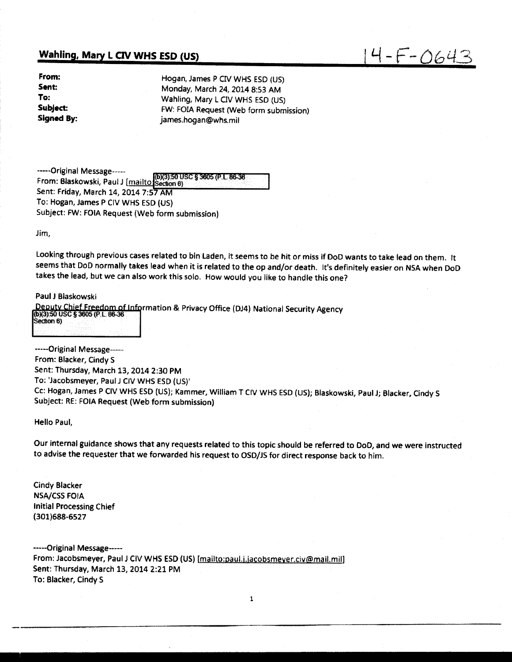## **Wahling, Mary L CIV WHS ESD (US)**

| From:      |
|------------|
| Sent:      |
| To:        |
| Subject:   |
| Signed By: |

Hogan, James P CIV WHS ESD (US) Monday, March 24, 2014 8:53 AM Wahling, Mary L CIV WHS ESD (US) FW: FOIA Request (Web form submission) james.hogan@whs.mil

 $14 - F - 0643$ 

-----Original Message-----<br>From: Blaskowski, Paul J [<u>mailto <mark>Section</mark> 6</u>)<br>-Sent: Friday, March 14, 2014 7:57AM To: Hogan, James P CIV WHS ESD (US) Subject: FW: FOIA Request (Web form submission)

Jim,

Looking through previous cases related to bin Laden, it seems to be hit or miss if DoD wants to take lead on them. It seems that DoD normally takes lead when it is related to the op and/or death. It's definitely easier on NSA when DoD takes the lead, but we can also work this solo. How would you like to handle this one?

Paul J Blaskowski

Deputy Chief Freedom of Information & Privacy Office (DJ4) National Security Agency<br>(b)(3):50 USC § 3605 (P.L. 86-36 Section 6)

-----Original Message---- From: Blacker, Cindy S Sent: Thursday, March 13, 2014 2:30 PM To: 'Jacobsmeyer, Paul J CIV WHS ESD (US)' Cc: Hogan, James P CIV WHS ESD (US); Kammer, William T CIV WHS ESD (US); Blaskowski, Paul J; Blacker, Cindy S Subject: RE: FOIA Request (Web form submission)

Hello Paul,

Our internal guidance shows that any requests related to this topic should be referred to DoD, and we were instructed to advise the requester that we forwarded his request to OSD/JS for direct response back to him.

Cindy Blacker NSA/CSS FOIA Initial Processing Chief (301)688-6527

-----Original Message----- From: Jacobsmeyer, Paul J CIV WHS ESD (US) [mailto:paul.j.jacobsmeyer.civ@mail.mil] Sent: Thursday, March 13, 2014 2:21 PM To: Blacker, Cindy S

1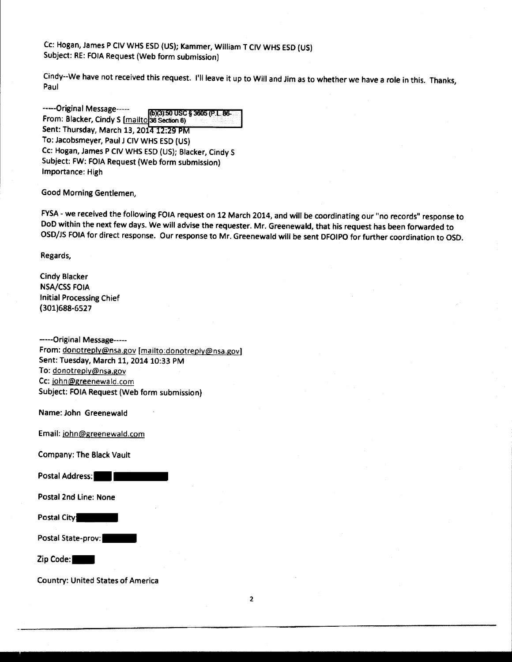Cc: Hogan, James P CIV WHS ESD (US); Kammer, William T CIV WHS ESD (US) Subject: RE: FOIA Request (Web form submission)

Cindy--We have not received this request. l'llleave it up to Will and Jim as to whether we have a role in this. Thanks, Paul

-----Original Message-----<br>-From: Blacker, Cindy S [mailto]36 Section 6) Sent: Thursday, March 13, 2014 12:29 PM To: Jacobsmeyer, Paul J CIV WHS ESD (US) Cc: Hogan, James P CIV WHS ESD (US); Blacker, Cindy S Subject: FW: FOIA Request (Web form submission) Importance: High

Good Morning Gentlemen,

FYSA - we received the following FOIA request on 12 March 2014, and will be coordinating our "no records" response to DoD within the next few days. We will advise the requester. Mr. Greenewald, that his request has been forwarded to OSD/JS FOIA for direct response. Our response to Mr. Greenewald will be sent DFOIPO for further coordination to OSD.

Regards,

Cindy Blacker NSA/CSS FOIA Initial Processing Chief (301)688-6527

-----Original Message----- From: donotreply@nsa.gov [mailto:donotreply@nsa.gov] Sent: Tuesday, March 11, 2014 10:33 PM To: donotreply@nsa.gov Cc: iohn@greenewald.com Subject: FOIA Request (Web form submission)

Name: John Greenewald

Email: iohn@greenewald.com

Company: The Black Vault

Postal Address:

Postal 2nd line: None

Postal City:

Postal State-prov:

Zip Code:

Country: United States of America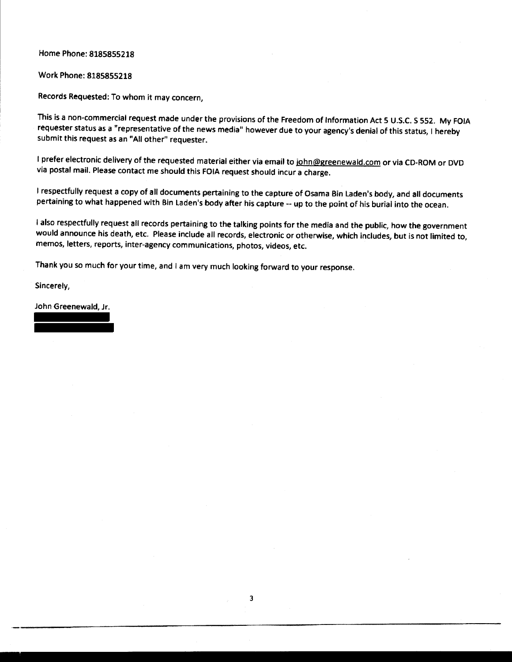Home Phone: 8185855218

Work Phone: 8185855218

Records Requested: To whom it may concern,

This is a non-commercial request made under the provisions of the Freedom of Information Act 5 U.S.C. S 552. My FOIA requester status as a "representative of the news media" however due to your agency's denial of this status, I hereby submit this request as an "All other" requester.

I prefer electronic delivery of the requested material either via email to john@greenewald.com or via CD-ROM or DVD via postal mail. Please contact me should this FOIA request should incur a charge.

I respectfully request a copy of all documents pertaining to the capture of Osama Bin Laden's body, and all documents pertaining to what happened with Bin Laden's body after his capture-- up to the point of his burial into the ocean.

I also respectfully request all records pertaining to the talking points for the media and the public, how the government would announce his death, etc. Please include all records, electronic or otherwise, which includes, but is not limited to, memos, letters, reports, inter-agency communications, photos, videos, etc.

Thank you so much for your time, and I am very much looking forward to your response.

Sincerely,

John Greenewald, Jr.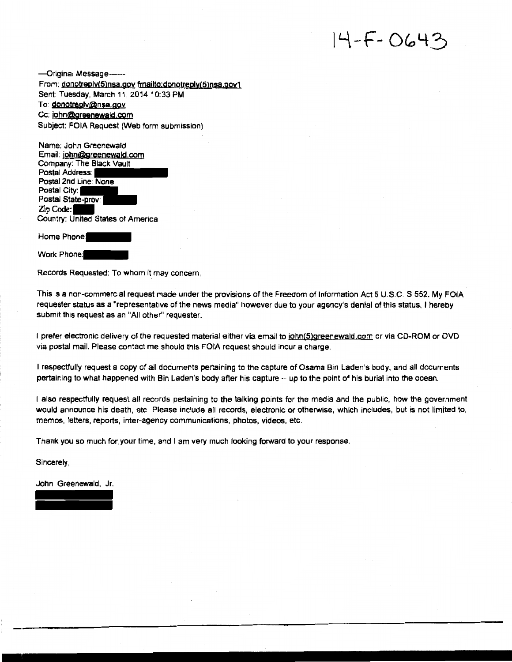# $14 - F - 0643$

-Qriginaj Message------ From: donotreplv(5)nsa.gov fmailto:donotreply(5)nsa.gov1 Sent: Tuesday, March 11, 2014 10:33 PM To donotreply@nsa.gov Cc: john@greenewald.com Subject: FOIA Request (Web form submission)

Name: John Greenewald Email: john@Qreenewald.com Company: The Black Vault Postal Address: Postal 2nd Line: None Postal City: Postal State-prov: Zip Code: Country: United States of America

Home Phone:

Work Phone:

Records Requested: To wham it may concern,

This is a non-commercial request made under the provisions of the Freedom of Information Act 5 U.S.C. S 552. My FOIA requester status as a "representative of the news media" however due to your agency's denial of this status, I hereby submit this request as an "All other" requester.

I prefer electronic delivery of the requested material either via email to john(5)greenewald.com or via CD-ROM or DVD via postal mail. Please contact me should this FOIA request should incur a charge.

I respectfully request a copy of all documents pertaining to the capture of Osama Bin Laden's body, and all documents pertaining to what happened with Bin Laden's body after his capture -- up to the point of his burial into the ocean.

l also respectfully request all records pertaining to the talking points for the media and the public, how the government would announce his death, etc Please include all records, electronic or otherwise, which includes, but is not limited to, memos, letters, reports, inter-agency communications, photos, videos, etc.

Thank you so much for your time, and I am very much looking forward to your response.

Sincerely,

John Greenewald, Jr.